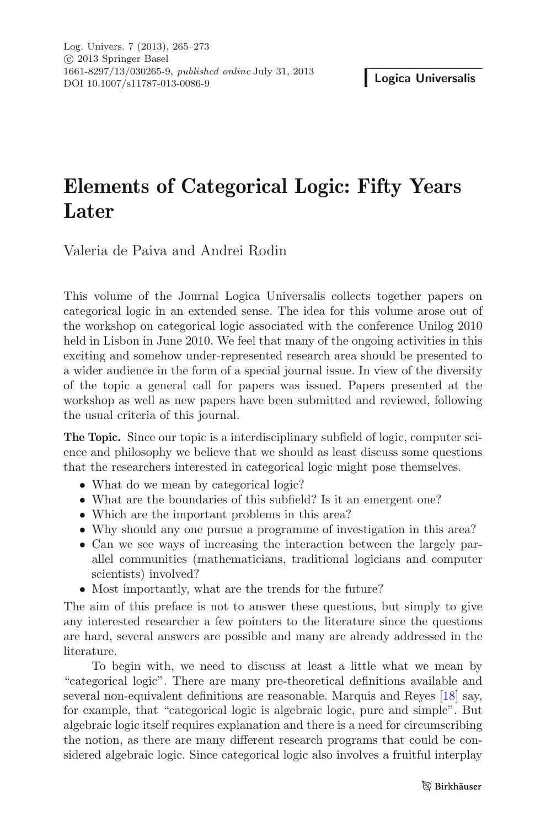## **Elements of Categorical Logic: Fifty Years Later**

Valeria de Paiva and Andrei Rodin

This volume of the Journal Logica Universalis collects together papers on categorical logic in an extended sense. The idea for this volume arose out of the workshop on categorical logic associated with the conference Unilog 2010 held in Lisbon in June 2010. We feel that many of the ongoing activities in this exciting and somehow under-represented research area should be presented to a wider audience in the form of a special journal issue. In view of the diversity of the topic a general call for papers was issued. Papers presented at the workshop as well as new papers have been submitted and reviewed, following the usual criteria of this journal.

**The Topic.** Since our topic is a interdisciplinary subfield of logic, computer science and philosophy we believe that we should as least discuss some questions that the researchers interested in categorical logic might pose themselves.

- What do we mean by categorical logic?
- What are the boundaries of this subfield? Is it an emergent one?
- Which are the important problems in this area?
- Why should any one pursue a programme of investigation in this area?
- Can we see ways of increasing the interaction between the largely parallel communities (mathematicians, traditional logicians and computer scientists) involved?
- Most importantly, what are the trends for the future?

The aim of this preface is not to answer these questions, but simply to give any interested researcher a few pointers to the literature since the questions are hard, several answers are possible and many are already addressed in the literature.

To begin with, we need to discuss at least a little what we mean by "categorical logic". There are many pre-theoretical definitions available and several non-equivalent definitions are reasonable. Marquis and Reyes [\[18\]](#page-8-0) say, for example, that "categorical logic is algebraic logic, pure and simple". But algebraic logic itself requires explanation and there is a need for circumscribing the notion, as there are many different research programs that could be considered algebraic logic. Since categorical logic also involves a fruitful interplay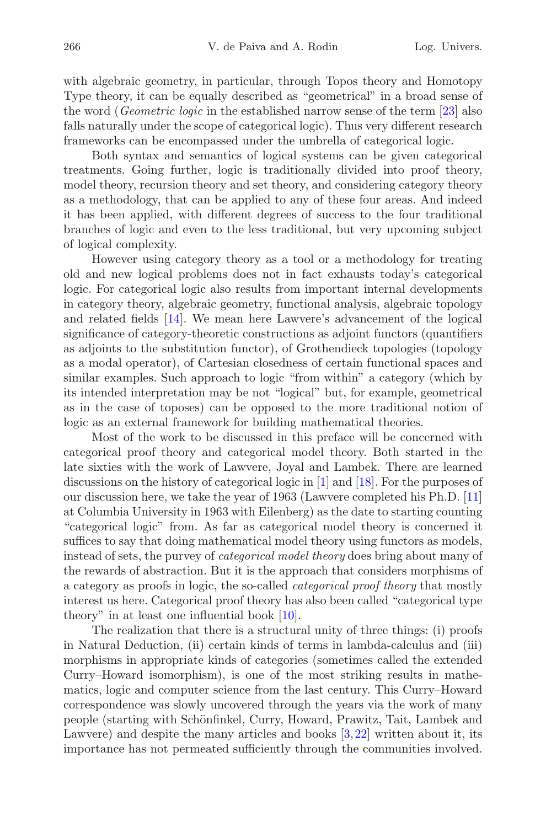with algebraic geometry, in particular, through Topos theory and Homotopy Type theory, it can be equally described as "geometrical" in a broad sense of the word (*Geometric logic* in the established narrow sense of the term [\[23](#page-8-1)] also falls naturally under the scope of categorical logic). Thus very different research frameworks can be encompassed under the umbrella of categorical logic.

Both syntax and semantics of logical systems can be given categorical treatments. Going further, logic is traditionally divided into proof theory, model theory, recursion theory and set theory, and considering category theory as a methodology, that can be applied to any of these four areas. And indeed it has been applied, with different degrees of success to the four traditional branches of logic and even to the less traditional, but very upcoming subject of logical complexity.

However using category theory as a tool or a methodology for treating old and new logical problems does not in fact exhausts today's categorical logic. For categorical logic also results from important internal developments in category theory, algebraic geometry, functional analysis, algebraic topology and related fields [\[14\]](#page-7-0). We mean here Lawvere's advancement of the logical significance of category-theoretic constructions as adjoint functors (quantifiers as adjoints to the substitution functor), of Grothendieck topologies (topology as a modal operator), of Cartesian closedness of certain functional spaces and similar examples. Such approach to logic "from within" a category (which by its intended interpretation may be not "logical" but, for example, geometrical as in the case of toposes) can be opposed to the more traditional notion of logic as an external framework for building mathematical theories.

Most of the work to be discussed in this preface will be concerned with categorical proof theory and categorical model theory. Both started in the late sixties with the work of Lawvere, Joyal and Lambek. There are learned discussions on the history of categorical logic in [\[1\]](#page-7-1) and [\[18\]](#page-8-0). For the purposes of our discussion here, we take the year of 1963 (Lawvere completed his Ph.D. [\[11\]](#page-7-2) at Columbia University in 1963 with Eilenberg) as the date to starting counting "categorical logic" from. As far as categorical model theory is concerned it suffices to say that doing mathematical model theory using functors as models, instead of sets, the purvey of *categorical model theory* does bring about many of the rewards of abstraction. But it is the approach that considers morphisms of a category as proofs in logic, the so-called *categorical proof theory* that mostly interest us here. Categorical proof theory has also been called "categorical type theory" in at least one influential book [\[10\]](#page-7-3).

The realization that there is a structural unity of three things: (i) proofs in Natural Deduction, (ii) certain kinds of terms in lambda-calculus and (iii) morphisms in appropriate kinds of categories (sometimes called the extended Curry–Howard isomorphism), is one of the most striking results in mathematics, logic and computer science from the last century. This Curry–Howard correspondence was slowly uncovered through the years via the work of many people (starting with Schönfinkel, Curry, Howard, Prawitz, Tait, Lambek and Lawvere) and despite the many articles and books  $[3,22]$  $[3,22]$  written about it, its importance has not permeated sufficiently through the communities involved.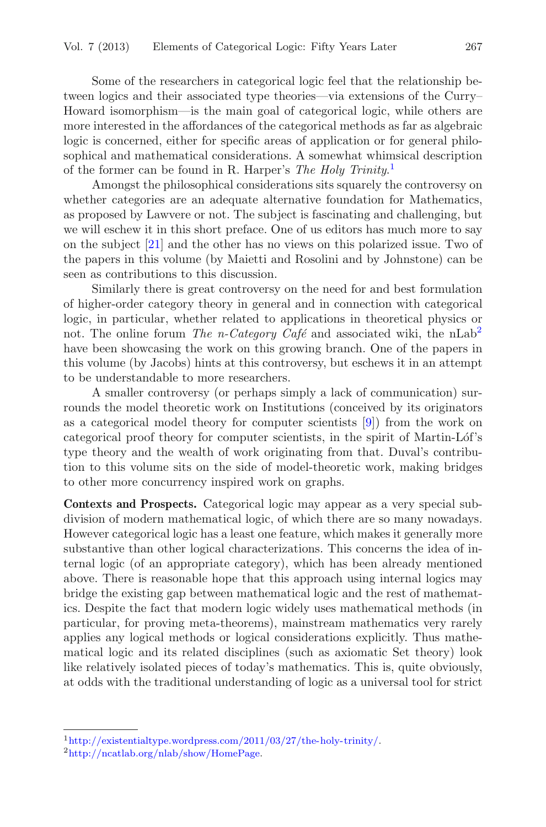Some of the researchers in categorical logic feel that the relationship between logics and their associated type theories—via extensions of the Curry– Howard isomorphism—is the main goal of categorical logic, while others are more interested in the affordances of the categorical methods as far as algebraic logic is concerned, either for specific areas of application or for general philosophical and mathematical considerations. A somewhat whimsical description of the former can be found in R. Harper's *The Holy Trinity*. [1](#page-2-0)

Amongst the philosophical considerations sits squarely the controversy on whether categories are an adequate alternative foundation for Mathematics, as proposed by Lawvere or not. The subject is fascinating and challenging, but we will eschew it in this short preface. One of us editors has much more to say on the subject [\[21](#page-8-3)] and the other has no views on this polarized issue. Two of the papers in this volume (by Maietti and Rosolini and by Johnstone) can be seen as contributions to this discussion.

Similarly there is great controversy on the need for and best formulation of higher-order category theory in general and in connection with categorical logic, in particular, whether related to applications in theoretical physics or not. The online forum *The n-Category Café* and associated wiki, the  $n\text{Lab}^2$  $n\text{Lab}^2$ have been showcasing the work on this growing branch. One of the papers in this volume (by Jacobs) hints at this controversy, but eschews it in an attempt to be understandable to more researchers.

A smaller controversy (or perhaps simply a lack of communication) surrounds the model theoretic work on Institutions (conceived by its originators as a categorical model theory for computer scientists [\[9](#page-7-5)]) from the work on categorical proof theory for computer scientists, in the spirit of Martin-Lóf's type theory and the wealth of work originating from that. Duval's contribution to this volume sits on the side of model-theoretic work, making bridges to other more concurrency inspired work on graphs.

**Contexts and Prospects.** Categorical logic may appear as a very special subdivision of modern mathematical logic, of which there are so many nowadays. However categorical logic has a least one feature, which makes it generally more substantive than other logical characterizations. This concerns the idea of internal logic (of an appropriate category), which has been already mentioned above. There is reasonable hope that this approach using internal logics may bridge the existing gap between mathematical logic and the rest of mathematics. Despite the fact that modern logic widely uses mathematical methods (in particular, for proving meta-theorems), mainstream mathematics very rarely applies any logical methods or logical considerations explicitly. Thus mathematical logic and its related disciplines (such as axiomatic Set theory) look like relatively isolated pieces of today's mathematics. This is, quite obviously, at odds with the traditional understanding of logic as a universal tool for strict

<sup>1</sup>[http://existentialtype.wordpress.com/2011/03/27/the-holy-trinity/.](http://existentialtype.wordpress.com/2011/03/27/the-holy-trinity/)

<span id="page-2-1"></span><span id="page-2-0"></span><sup>2</sup>[http://ncatlab.org/nlab/show/HomePage.](http://ncatlab.org/nlab/show/HomePage)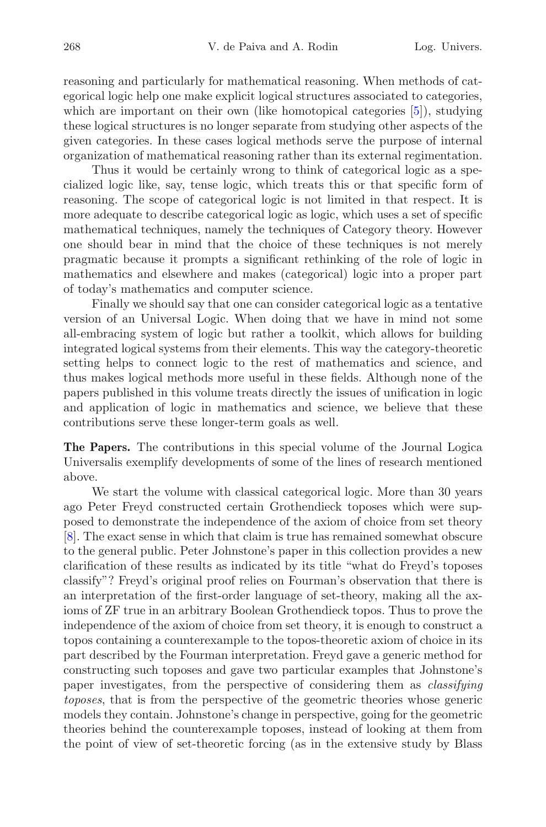reasoning and particularly for mathematical reasoning. When methods of categorical logic help one make explicit logical structures associated to categories, which are important on their own (like homotopical categories [\[5\]](#page-7-6)), studying these logical structures is no longer separate from studying other aspects of the given categories. In these cases logical methods serve the purpose of internal organization of mathematical reasoning rather than its external regimentation.

Thus it would be certainly wrong to think of categorical logic as a specialized logic like, say, tense logic, which treats this or that specific form of reasoning. The scope of categorical logic is not limited in that respect. It is more adequate to describe categorical logic as logic, which uses a set of specific mathematical techniques, namely the techniques of Category theory. However one should bear in mind that the choice of these techniques is not merely pragmatic because it prompts a significant rethinking of the role of logic in mathematics and elsewhere and makes (categorical) logic into a proper part of today's mathematics and computer science.

Finally we should say that one can consider categorical logic as a tentative version of an Universal Logic. When doing that we have in mind not some all-embracing system of logic but rather a toolkit, which allows for building integrated logical systems from their elements. This way the category-theoretic setting helps to connect logic to the rest of mathematics and science, and thus makes logical methods more useful in these fields. Although none of the papers published in this volume treats directly the issues of unification in logic and application of logic in mathematics and science, we believe that these contributions serve these longer-term goals as well.

**The Papers.** The contributions in this special volume of the Journal Logica Universalis exemplify developments of some of the lines of research mentioned above.

We start the volume with classical categorical logic. More than 30 years ago Peter Freyd constructed certain Grothendieck toposes which were supposed to demonstrate the independence of the axiom of choice from set theory [\[8\]](#page-7-7). The exact sense in which that claim is true has remained somewhat obscure to the general public. Peter Johnstone's paper in this collection provides a new clarification of these results as indicated by its title "what do Freyd's toposes classify"? Freyd's original proof relies on Fourman's observation that there is an interpretation of the first-order language of set-theory, making all the axioms of ZF true in an arbitrary Boolean Grothendieck topos. Thus to prove the independence of the axiom of choice from set theory, it is enough to construct a topos containing a counterexample to the topos-theoretic axiom of choice in its part described by the Fourman interpretation. Freyd gave a generic method for constructing such toposes and gave two particular examples that Johnstone's paper investigates, from the perspective of considering them as *classifying toposes*, that is from the perspective of the geometric theories whose generic models they contain. Johnstone's change in perspective, going for the geometric theories behind the counterexample toposes, instead of looking at them from the point of view of set-theoretic forcing (as in the extensive study by Blass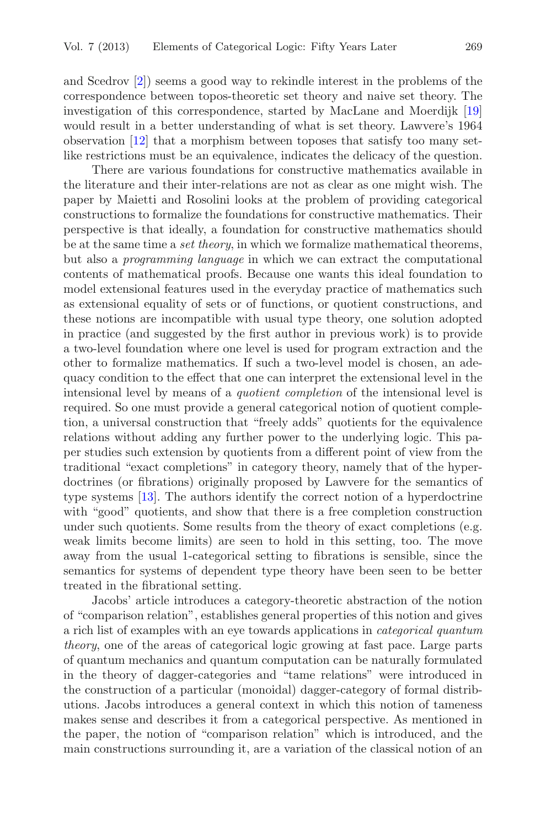and Scedrov [\[2](#page-7-8)]) seems a good way to rekindle interest in the problems of the correspondence between topos-theoretic set theory and naive set theory. The investigation of this correspondence, started by MacLane and Moerdijk [\[19\]](#page-8-4) would result in a better understanding of what is set theory. Lawvere's 1964 observation [\[12](#page-7-9)] that a morphism between toposes that satisfy too many setlike restrictions must be an equivalence, indicates the delicacy of the question.

There are various foundations for constructive mathematics available in the literature and their inter-relations are not as clear as one might wish. The paper by Maietti and Rosolini looks at the problem of providing categorical constructions to formalize the foundations for constructive mathematics. Their perspective is that ideally, a foundation for constructive mathematics should be at the same time a *set theory*, in which we formalize mathematical theorems, but also a *programming language* in which we can extract the computational contents of mathematical proofs. Because one wants this ideal foundation to model extensional features used in the everyday practice of mathematics such as extensional equality of sets or of functions, or quotient constructions, and these notions are incompatible with usual type theory, one solution adopted in practice (and suggested by the first author in previous work) is to provide a two-level foundation where one level is used for program extraction and the other to formalize mathematics. If such a two-level model is chosen, an adequacy condition to the effect that one can interpret the extensional level in the intensional level by means of a *quotient completion* of the intensional level is required. So one must provide a general categorical notion of quotient completion, a universal construction that "freely adds" quotients for the equivalence relations without adding any further power to the underlying logic. This paper studies such extension by quotients from a different point of view from the traditional "exact completions" in category theory, namely that of the hyperdoctrines (or fibrations) originally proposed by Lawvere for the semantics of type systems [\[13\]](#page-7-10). The authors identify the correct notion of a hyperdoctrine with "good" quotients, and show that there is a free completion construction under such quotients. Some results from the theory of exact completions (e.g. weak limits become limits) are seen to hold in this setting, too. The move away from the usual 1-categorical setting to fibrations is sensible, since the semantics for systems of dependent type theory have been seen to be better treated in the fibrational setting.

Jacobs' article introduces a category-theoretic abstraction of the notion of "comparison relation", establishes general properties of this notion and gives a rich list of examples with an eye towards applications in *categorical quantum theory*, one of the areas of categorical logic growing at fast pace. Large parts of quantum mechanics and quantum computation can be naturally formulated in the theory of dagger-categories and "tame relations" were introduced in the construction of a particular (monoidal) dagger-category of formal distributions. Jacobs introduces a general context in which this notion of tameness makes sense and describes it from a categorical perspective. As mentioned in the paper, the notion of "comparison relation" which is introduced, and the main constructions surrounding it, are a variation of the classical notion of an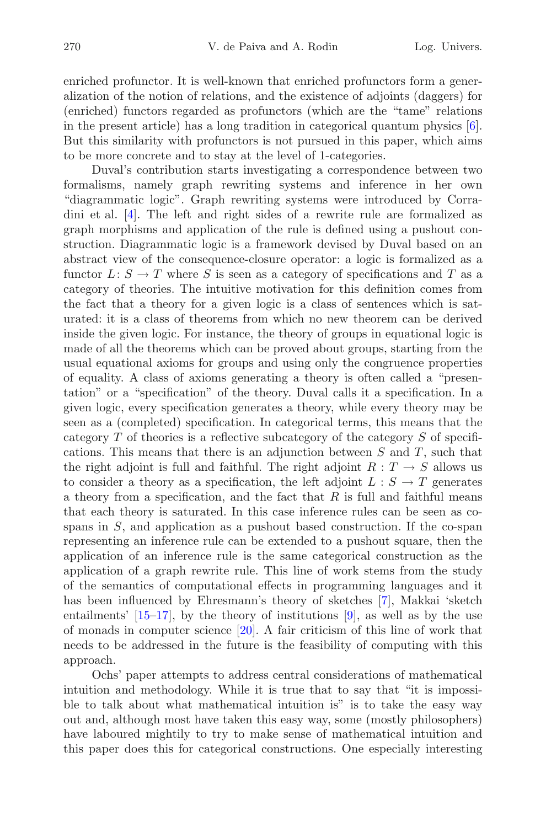enriched profunctor. It is well-known that enriched profunctors form a generalization of the notion of relations, and the existence of adjoints (daggers) for (enriched) functors regarded as profunctors (which are the "tame" relations in the present article) has a long tradition in categorical quantum physics [\[6\]](#page-7-11). But this similarity with profunctors is not pursued in this paper, which aims to be more concrete and to stay at the level of 1-categories.

Duval's contribution starts investigating a correspondence between two formalisms, namely graph rewriting systems and inference in her own "diagrammatic logic". Graph rewriting systems were introduced by Corradini et al. [\[4\]](#page-7-12). The left and right sides of a rewrite rule are formalized as graph morphisms and application of the rule is defined using a pushout construction. Diagrammatic logic is a framework devised by Duval based on an abstract view of the consequence-closure operator: a logic is formalized as a functor  $L: S \to T$  where *S* is seen as a category of specifications and *T* as a category of theories. The intuitive motivation for this definition comes from the fact that a theory for a given logic is a class of sentences which is saturated: it is a class of theorems from which no new theorem can be derived inside the given logic. For instance, the theory of groups in equational logic is made of all the theorems which can be proved about groups, starting from the usual equational axioms for groups and using only the congruence properties of equality. A class of axioms generating a theory is often called a "presentation" or a "specification" of the theory. Duval calls it a specification. In a given logic, every specification generates a theory, while every theory may be seen as a (completed) specification. In categorical terms, this means that the category *T* of theories is a reflective subcategory of the category *S* of specifications. This means that there is an adjunction between *S* and *T*, such that the right adjoint is full and faithful. The right adjoint  $R: T \rightarrow S$  allows us to consider a theory as a specification, the left adjoint  $L : S \to T$  generates a theory from a specification, and the fact that *R* is full and faithful means that each theory is saturated. In this case inference rules can be seen as cospans in *S*, and application as a pushout based construction. If the co-span representing an inference rule can be extended to a pushout square, then the application of an inference rule is the same categorical construction as the application of a graph rewrite rule. This line of work stems from the study of the semantics of computational effects in programming languages and it has been influenced by Ehresmann's theory of sketches [\[7](#page-7-13)], Makkai 'sketch entailments'  $[15-17]$  $[15-17]$ , by the theory of institutions  $[9]$  $[9]$ , as well as by the use of monads in computer science [\[20](#page-8-6)]. A fair criticism of this line of work that needs to be addressed in the future is the feasibility of computing with this approach.

Ochs' paper attempts to address central considerations of mathematical intuition and methodology. While it is true that to say that "it is impossible to talk about what mathematical intuition is" is to take the easy way out and, although most have taken this easy way, some (mostly philosophers) have laboured mightily to try to make sense of mathematical intuition and this paper does this for categorical constructions. One especially interesting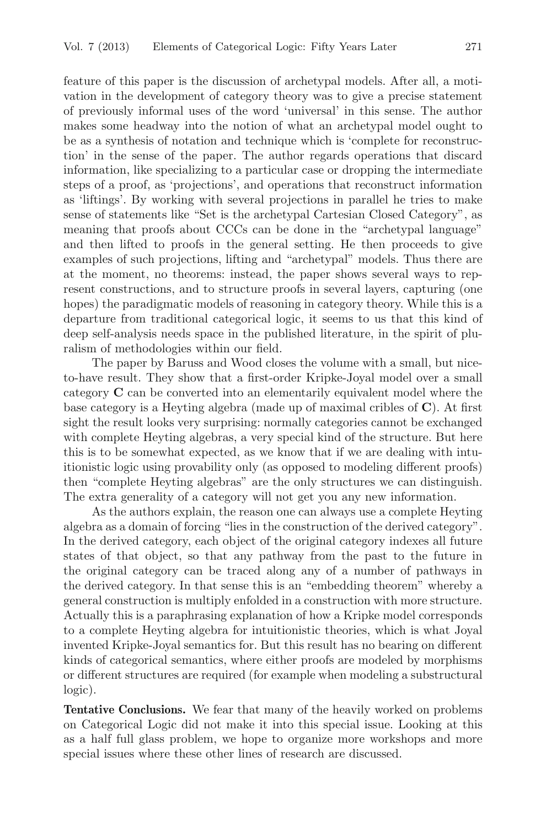feature of this paper is the discussion of archetypal models. After all, a motivation in the development of category theory was to give a precise statement of previously informal uses of the word 'universal' in this sense. The author makes some headway into the notion of what an archetypal model ought to be as a synthesis of notation and technique which is 'complete for reconstruction' in the sense of the paper. The author regards operations that discard information, like specializing to a particular case or dropping the intermediate steps of a proof, as 'projections', and operations that reconstruct information as 'liftings'. By working with several projections in parallel he tries to make sense of statements like "Set is the archetypal Cartesian Closed Category", as meaning that proofs about CCCs can be done in the "archetypal language" and then lifted to proofs in the general setting. He then proceeds to give examples of such projections, lifting and "archetypal" models. Thus there are at the moment, no theorems: instead, the paper shows several ways to represent constructions, and to structure proofs in several layers, capturing (one hopes) the paradigmatic models of reasoning in category theory. While this is a departure from traditional categorical logic, it seems to us that this kind of deep self-analysis needs space in the published literature, in the spirit of pluralism of methodologies within our field.

The paper by Baruss and Wood closes the volume with a small, but niceto-have result. They show that a first-order Kripke-Joyal model over a small category **C** can be converted into an elementarily equivalent model where the base category is a Heyting algebra (made up of maximal cribles of **C**). At first sight the result looks very surprising: normally categories cannot be exchanged with complete Heyting algebras, a very special kind of the structure. But here this is to be somewhat expected, as we know that if we are dealing with intuitionistic logic using provability only (as opposed to modeling different proofs) then "complete Heyting algebras" are the only structures we can distinguish. The extra generality of a category will not get you any new information.

As the authors explain, the reason one can always use a complete Heyting algebra as a domain of forcing "lies in the construction of the derived category". In the derived category, each object of the original category indexes all future states of that object, so that any pathway from the past to the future in the original category can be traced along any of a number of pathways in the derived category. In that sense this is an "embedding theorem" whereby a general construction is multiply enfolded in a construction with more structure. Actually this is a paraphrasing explanation of how a Kripke model corresponds to a complete Heyting algebra for intuitionistic theories, which is what Joyal invented Kripke-Joyal semantics for. But this result has no bearing on different kinds of categorical semantics, where either proofs are modeled by morphisms or different structures are required (for example when modeling a substructural logic).

**Tentative Conclusions.** We fear that many of the heavily worked on problems on Categorical Logic did not make it into this special issue. Looking at this as a half full glass problem, we hope to organize more workshops and more special issues where these other lines of research are discussed.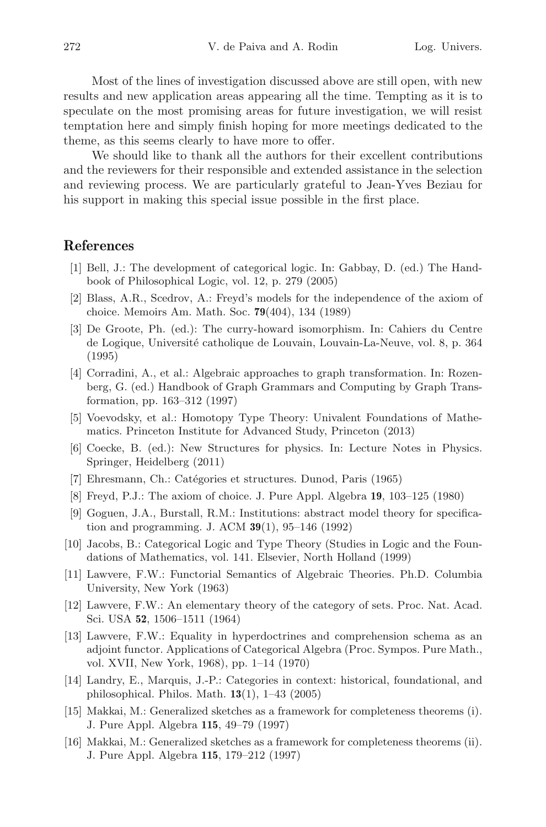Most of the lines of investigation discussed above are still open, with new results and new application areas appearing all the time. Tempting as it is to speculate on the most promising areas for future investigation, we will resist temptation here and simply finish hoping for more meetings dedicated to the theme, as this seems clearly to have more to offer.

We should like to thank all the authors for their excellent contributions and the reviewers for their responsible and extended assistance in the selection and reviewing process. We are particularly grateful to Jean-Yves Beziau for his support in making this special issue possible in the first place.

## <span id="page-7-1"></span>**References**

- [1] Bell, J.: The development of categorical logic. In: Gabbay, D. (ed.) The Handbook of Philosophical Logic, vol. 12, p. 279 (2005)
- <span id="page-7-8"></span>[2] Blass, A.R., Scedrov, A.: Freyd's models for the independence of the axiom of choice. Memoirs Am. Math. Soc. **79**(404), 134 (1989)
- <span id="page-7-4"></span>[3] De Groote, Ph. (ed.): The curry-howard isomorphism. In: Cahiers du Centre de Logique, Université catholique de Louvain, Louvain-La-Neuve, vol. 8, p. 364 (1995)
- <span id="page-7-12"></span>[4] Corradini, A., et al.: Algebraic approaches to graph transformation. In: Rozenberg, G. (ed.) Handbook of Graph Grammars and Computing by Graph Transformation, pp. 163–312 (1997)
- <span id="page-7-6"></span>[5] Voevodsky, et al.: Homotopy Type Theory: Univalent Foundations of Mathematics. Princeton Institute for Advanced Study, Princeton (2013)
- <span id="page-7-11"></span>[6] Coecke, B. (ed.): New Structures for physics. In: Lecture Notes in Physics. Springer, Heidelberg (2011)
- <span id="page-7-13"></span>[7] Ehresmann, Ch.: Catégories et structures. Dunod, Paris (1965)
- <span id="page-7-7"></span>[8] Freyd, P.J.: The axiom of choice. J. Pure Appl. Algebra **19**, 103–125 (1980)
- [9] Goguen, J.A., Burstall, R.M.: Institutions: abstract model theory for specification and programming. J. ACM **39**(1), 95–146 (1992)
- <span id="page-7-5"></span><span id="page-7-3"></span>[10] Jacobs, B.: Categorical Logic and Type Theory (Studies in Logic and the Foundations of Mathematics, vol. 141. Elsevier, North Holland (1999)
- <span id="page-7-2"></span>[11] Lawvere, F.W.: Functorial Semantics of Algebraic Theories. Ph.D. Columbia University, New York (1963)
- <span id="page-7-9"></span>[12] Lawvere, F.W.: An elementary theory of the category of sets. Proc. Nat. Acad. Sci. USA **52**, 1506–1511 (1964)
- <span id="page-7-10"></span>[13] Lawvere, F.W.: Equality in hyperdoctrines and comprehension schema as an adjoint functor. Applications of Categorical Algebra (Proc. Sympos. Pure Math., vol. XVII, New York, 1968), pp. 1–14 (1970)
- <span id="page-7-0"></span>[14] Landry, E., Marquis, J.-P.: Categories in context: historical, foundational, and philosophical. Philos. Math. **13**(1), 1–43 (2005)
- <span id="page-7-14"></span>[15] Makkai, M.: Generalized sketches as a framework for completeness theorems (i). J. Pure Appl. Algebra **115**, 49–79 (1997)
- [16] Makkai, M.: Generalized sketches as a framework for completeness theorems (ii). J. Pure Appl. Algebra **115**, 179–212 (1997)